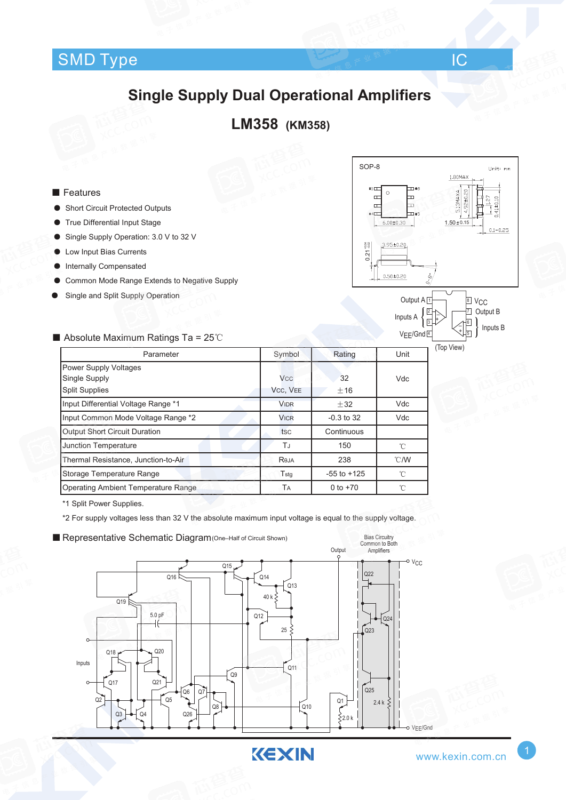#### $\blacksquare$ SMD Type  $\blacksquare$  IC  $\mathsf{Type}$  . The interval of the  $\mathsf{IC}_{\mathsf{K}}$  is the  $\mathsf{IC}_{\mathsf{K}}$

# **Single Supply Dual Operational Amplifiers**

### **LM358 (KM358)**

#### ■ Features

- **Short Circuit Protected Outputs**
- **True Differential Input Stage**
- Single Supply Operation: 3.0 V to 32 V
- Low Input Bias Currents
- Internally Compensated
- Common Mode Range Extends to Negative Supply
- Single and Split Supply Operation



■ Absolute Maximum Ratings Ta = 25℃



(Top View)

| Parameter                            | Symbol      | Rating          | Unit |
|--------------------------------------|-------------|-----------------|------|
| Power Supply Voltages                |             |                 |      |
| Single Supply                        | <b>Vcc</b>  | 32              | Vdc  |
| <b>Split Supplies</b>                | VCC, VEE    | $+16$           |      |
| Input Differential Voltage Range *1  | <b>VIDR</b> | ±32             | Vdc  |
| Input Common Mode Voltage Range *2   | <b>VICR</b> | $-0.3$ to 32    | Vdc  |
| <b>Output Short Circuit Duration</b> | tsc         | Continuous      |      |
| Junction Temperature                 | TJ          | 150             | °C   |
| Thermal Resistance, Junction-to-Air  | Reja        | 238             | °C/W |
| Storage Temperature Range            | Tstg        | $-55$ to $+125$ | °C   |
| Operating Ambient Temperature Range  | TA          | 0 to $+70$      | °C   |

\*1 Split Power Supplies.

\*2 For supply voltages less than 32 V the absolute maximum input voltage is equal to the supply voltage.



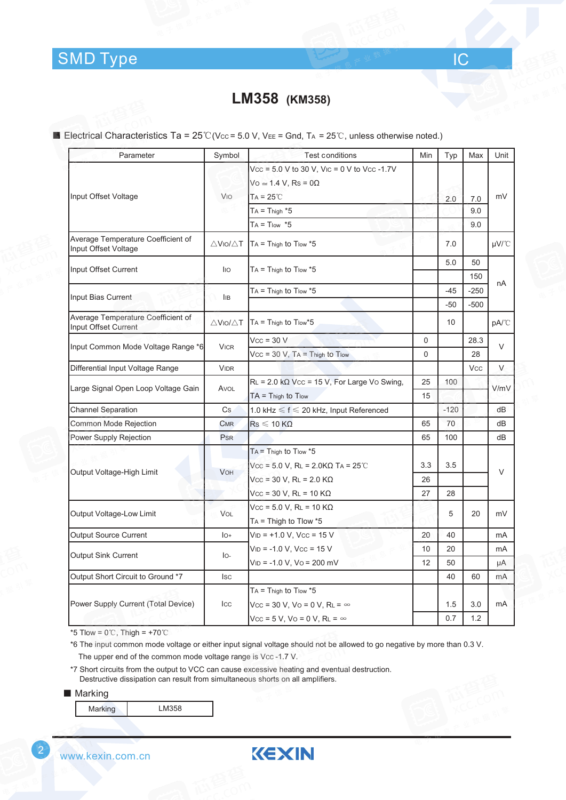## **LM358 (KM358)**

■ Electrical Characteristics Ta = 25℃(Vcc = 5.0 V, VEE = Gnd, TA = 25℃, unless otherwise noted.)

| Parameter                                                  | Symbol                         | <b>Test conditions</b>                                                                | Min      | Typ            | Max              | Unit   |
|------------------------------------------------------------|--------------------------------|---------------------------------------------------------------------------------------|----------|----------------|------------------|--------|
|                                                            |                                | $Vcc = 5.0 V$ to 30 V, Vic = 0 V to Vcc -1.7V<br>$Vo \approx 1.4 V$ , Rs = 0 $\Omega$ |          |                |                  |        |
| Input Offset Voltage                                       | Vio                            | $TA = 25^{\circ}$ C                                                                   |          |                |                  | mV     |
|                                                            |                                | $TA = Thigh *5$                                                                       |          | 2.0            | 7.0<br>9.0       |        |
|                                                            |                                | $TA = T_{low}$ *5                                                                     |          |                | 9.0              |        |
| Average Temperature Coefficient of<br>Input Offset Voltage | $\triangle$ Vio/ $\triangle$ T | $TA = Third$ Thigh to $T$ low $*5$                                                    |          | 7.0            |                  | µV/°C  |
| Input Offset Current                                       | lio                            | $TA = Thigh to Tlow *5$                                                               |          | 5.0            | 50<br>150        |        |
| Input Bias Current                                         | İІВ                            | $TA = Thigh to Tlow *5$                                                               |          | $-45$<br>$-50$ | $-250$<br>$-500$ | nA     |
| Average Temperature Coefficient of<br>Input Offset Current | $\triangle$ Vio/ $\triangle$ T | $TA = Thigh to Tlow*5$                                                                |          | 10             |                  | pA/°C  |
| Input Common Mode Voltage Range *6                         | <b>VICR</b>                    | $Vcc = 30 V$                                                                          | 0        |                | 28.3             | $\vee$ |
|                                                            |                                | $Vcc = 30$ V, $Ta = Thigh$ to $Tlow$                                                  | 0        |                | 28               |        |
| Differential Input Voltage Range                           | <b>VIDR</b>                    |                                                                                       |          |                | <b>Vcc</b>       | V      |
| Large Signal Open Loop Voltage Gain                        | AVOL                           | $RL = 2.0 k\Omega$ Vcc = 15 V, For Large Vo Swing,                                    | 25       | 100            |                  | V/mV   |
|                                                            |                                | $TA = Thigh to Tlow$                                                                  | 15       |                |                  |        |
| <b>Channel Separation</b>                                  | Cs                             | 1.0 kHz $\leqslant$ f $\leqslant$ 20 kHz, Input Referenced                            |          | $-120$         |                  | dB     |
| Common Mode Rejection                                      | <b>CMR</b>                     | $\mathsf{Rs}\leqslant$ 10 KQ                                                          | 65       | 70             |                  | dB     |
| Power Supply Rejection                                     | PsR                            |                                                                                       | 65       | 100            |                  | dB     |
| Output Voltage-High Limit                                  | <b>VOH</b>                     | $TA =$ Thigh to Tlow $*5$<br>$Vcc = 5.0 V$ , RL = 2.0ΚΩ TA = 25℃                      | 3.3      | 3.5            |                  | $\vee$ |
|                                                            |                                | $Vcc = 30 V$ , RL = 2.0 KΩ<br>$Vcc = 30 V$ , RL = 10 KΩ                               | 26<br>27 | 28             |                  |        |
| Output Voltage-Low Limit                                   | VOL                            | $Vcc = 5.0 V$ , RL = 10 K $\Omega$<br>$TA = Thigh to Flow *5$                         |          | 5              | 20               | mV     |
| <b>Output Source Current</b>                               | $I_{O^+}$                      | $V_{ID}$ = +1.0 V, Vcc = 15 V                                                         | 20       | 40             |                  | mA     |
|                                                            |                                | $VID = -1.0 V, VCC = 15 V$                                                            | 10       | 20             |                  | mA     |
| <b>Output Sink Current</b>                                 | $I_{\rm O}$                    | $V_{ID}$ = -1.0 V, Vo = 200 mV                                                        | 12       | 50             |                  | μA     |
| Output Short Circuit to Ground *7                          | <b>I</b> sc                    |                                                                                       |          | 40             | 60               | mA     |
|                                                            |                                | $TA = Thigh to Tlow *5$                                                               |          |                |                  |        |
| Power Supply Current (Total Device)                        | Icc                            | Vcc = 30 V, Vo = 0 V, RL = $\infty$                                                   |          | 1.5            | 3.0              | mA     |
|                                                            |                                | $Vcc = 5 V$ , $Vo = 0 V$ , $RL = \infty$                                              |          | 0.7            | 1.2              |        |

\*5 Tlow =  $0^{\circ}$ C, Thigh = +70 $^{\circ}$ C

\*6 The input common mode voltage or either input signal voltage should not be allowed to go negative by more than 0.3 V. The upper end of the common mode voltage range is Vcc-1.7 V.

KEXIN

\*7 Short circuits from the output to VCC can cause excessive heating and eventual destruction. Destructive dissipation can result from simultaneous shorts on all amplifiers.

■ Marking

2

|--|